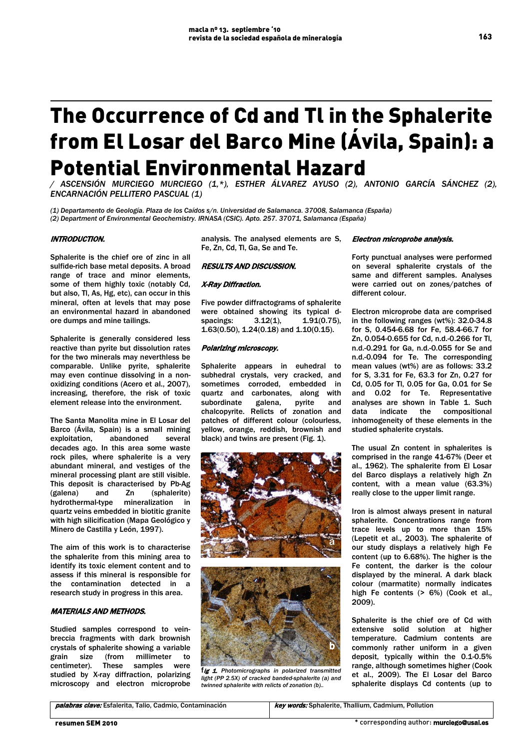# The Occurrence of Cd and Tl in the Sphalerite from El Losar del Barco Mine (Ávila, Spain): a Potential Environmental Hazard

*/ ASCENSIÓN MURCIEGO MURCIEGO (1,\*), ESTHER ÁLVAREZ AYUSO (2), ANTONIO GARCÍA SÁNCHEZ (2), ENCARNACIÓN PELLITERO PASCUAL (1)*

*(1) Departamento de Geología. Plaza de los Caídos s/n. Universidad de Salamanca. 37008, Salamanca (España) (2) Department of Environmental Geochemistry. IRNASA (CSIC). Apto. 257. 37071, Salamanca (España)* 

## INTRODUCTION.

Sphalerite is the chief ore of zinc in all sulfide-rich base metal deposits. A broad range of trace and minor elements, some of them highly toxic (notably Cd, but also, Tl, As, Hg, etc), can occur in this mineral, often at levels that may pose an environmental hazard in abandoned ore dumps and mine tailings.

Sphalerite is generally considered less reactive than pyrite but dissolution rates for the two minerals may neverthless be comparable. Unlike pyrite, sphalerite may even continue dissolving in a nonoxidizing conditions (Acero et al., 2007), increasing, therefore, the risk of toxic element release into the environment.

The Santa Manolita mine in El Losar del Barco (Ávila, Spain) is a small mining exploitation, abandoned several decades ago. In this area some waste rock piles, where sphalerite is a very abundant mineral, and vestiges of the mineral processing plant are still visible. This deposit is characterised by Pb-Ag (galena) and Zn (sphalerite) hydrothermal-type mineralization in quartz veins embedded in biotitic granite with high silicification (Mapa Geológico y Minero de Castilla y León, 1997).

The aim of this work is to characterise the sphalerite from this mining area to identify its toxic element content and to assess if this mineral is responsible for the contamination detected in a research study in progress in this area.

## MATERIALS AND METHODS.

Studied samples correspond to veinbreccia fragments with dark brownish crystals of sphalerite showing a variable<br>grain size (from millimeter to grain size (from millimeter to<br>centimeter). These samples were centimeter). These samples were studied by X-ray diffraction, polarizing microscopy and electron microprobe

analysis. The analysed elements are S, Fe, Zn, Cd, Tl, Ga, Se and Te.

## RESULTS AND DISCUSSION.

#### X-Ray Diffraction.

Five powder diffractograms of sphalerite were obtained showing its typical d-<br>spacings:  $3.12(1)$ ,  $1.91(0.75)$ ,  $1.91(0.75)$ , 1.63(0.50), 1.24(0.18) and 1.10(0.15).

### Polarizing microscopy.

Sphalerite appears in euhedral to subhedral crystals, very cracked, and sometimes corroded, embedded in quartz and carbonates, along with<br>subordinate galena. pyrite and subordinate galena, pyrite and chalcopyrite. Relicts of zonation and patches of different colour (colourless, yellow, orange, reddish, brownish and black) and twins are present (Fig. 1).





fig 1. *Photomicrographs in polarized transmitted light (PP 2.5X) of cracked banded-sphalerite (a) and twinned sphalerite with relicts of zonation (b)..*

Electron microprobe analysis.

Forty punctual analyses were performed on several sphalerite crystals of the same and different samples. Analyses were carried out on zones/patches of different colour.

Electron microprobe data are comprised in the following ranges (wt%): 32.0-34.8 for S, 0.454-6.68 for Fe, 58.4-66.7 for Zn, 0.054-0.655 for Cd, n.d.-0.266 for Tl, n.d.-0.291 for Ga, n.d.-0.055 for Se and n.d.-0.094 for Te. The corresponding mean values (wt%) are as follows: 33.2 for S, 3.31 for Fe, 63.3 for Zn, 0.27 for Cd, 0.05 for Tl, 0.05 for Ga, 0.01 for Se and 0.02 for Te. Representative analyses are shown in Table 1. Such data indicate the compositional inhomogeneity of these elements in the studied sphalerite crystals.

The usual Zn content in sphalerites is comprised in the range 41-67% (Deer et al., 1962). The sphalerite from El Losar del Barco displays a relatively high Zn content, with a mean value (63.3%) really close to the upper limit range.

Iron is almost always present in natural sphalerite. Concentrations range from trace levels up to more than 15% (Lepetit et al., 2003). The sphalerite of our study displays a relatively high Fe content (up to 6.68%). The higher is the Fe content, the darker is the colour displayed by the mineral. A dark black colour (marmatite) normally indicates high Fe contents (> 6%) (Cook et al., 2009).

Sphalerite is the chief ore of Cd with extensive solid solution at higher temperature. Cadmium contents are commonly rather uniform in a given deposit, typically within the 0.1-0.5% range, although sometimes higher (Cook et al., 2009). The El Losar del Barco sphalerite displays Cd contents (up to

palabras clave: Esfalerita, Talio, Cadmio, Contaminación **key words:** Sphalerite, Thallium, Cadmium, Pollution